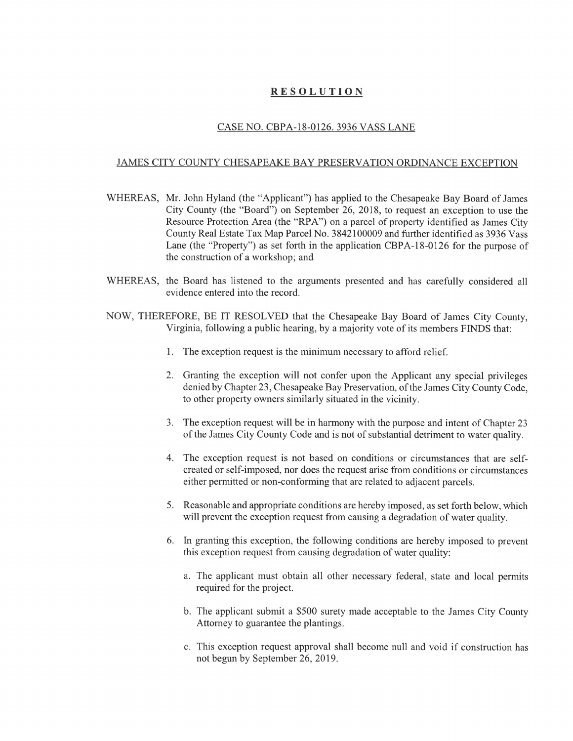## RESOLUTION

## CASE NO. CBPA-18-0126. 3936 VASS LANE

## JAMES CITY COUNTY CHESAPEAKE BAY PRESERVATION ORDINANCE EXCEPTION

- WHEREAS, Mr. John Hyland (the "Applicant") has applied to the Chesapeake Bay Board of James City County (the "Board") on September 26, 2018, to request an exception to use the Resource Protection Area (the "RPA") on a parcel of property identified as James City County Real Estate Tax Map Parcel No. 3842100009 and further identified as 3936 Vass Lane (the "Property") as set forth in the application CBPA-18-0126 for the purpose of the construction of a workshop; and
- WHEREAS, the Board has listened to the arguments presented and has carefully considered all evidence entered into the record.
- NOW, THEREFORE, BE IT RESOLVED that the Chesapeake Bay Board of James City County, Virginia, following a public hearing, by a majority vote of its members FINDS that:
	- 1. The exception request is the minimum necessary to afford relief.
	- 2. Granting the exception will not confer upon the Applicant any special privileges denied by Chapter 23, Chesapeake Bay Preservation, of the James City County Code, to other property owners similarly situated in the vicinity.
	- 3. The exception request will be in harmony with the purpose and intent of Chapter 23 of the James City County Code and is not of substantial detriment to water quality.
	- 4. The exception request is not based on conditions or circumstances that are selfcreated or self-imposed, nor does the request arise from conditions or circumstances either permitted or non-conforming that are related to adjacent parcels.
	- 5. Reasonable and appropriate conditions are hereby imposed, as set forth below, which will prevent the exception request from causing a degradation of water quality.
	- 6. In granting this exception, the following conditions are hereby imposed to prevent this exception request from causing degradation of water quality:
		- a. The applicant must obtain all other necessary federal, state and local permits required for the project.
		- b. The applicant submit a \$500 surety made acceptable to the James City County Attorney to guarantee the plantings.
		- c. This exception request approval shall become null and void if construction has not begun by September 26, 2019.